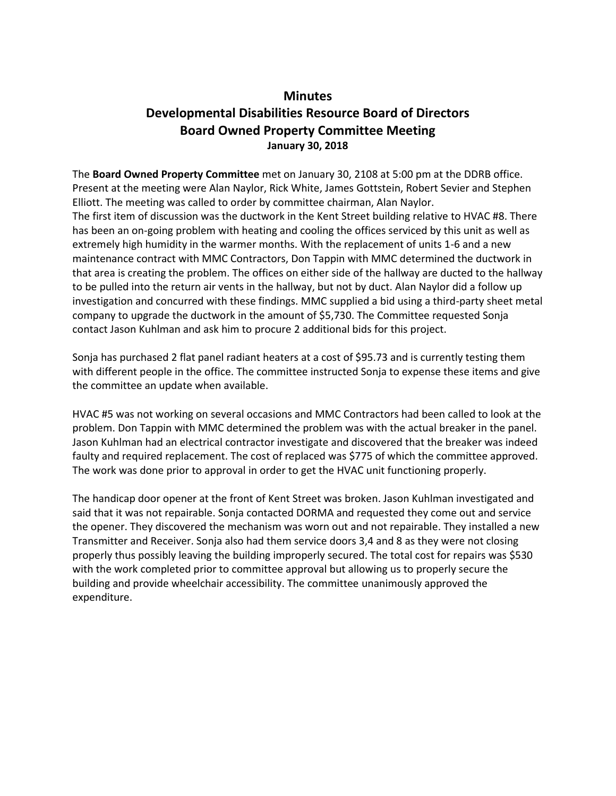## **Minutes**

## **Developmental Disabilities Resource Board of Directors Board Owned Property Committee Meeting January 30, 2018**

The **Board Owned Property Committee** met on January 30, 2108 at 5:00 pm at the DDRB office. Present at the meeting were Alan Naylor, Rick White, James Gottstein, Robert Sevier and Stephen Elliott. The meeting was called to order by committee chairman, Alan Naylor. The first item of discussion was the ductwork in the Kent Street building relative to HVAC #8. There has been an on-going problem with heating and cooling the offices serviced by this unit as well as extremely high humidity in the warmer months. With the replacement of units 1-6 and a new maintenance contract with MMC Contractors, Don Tappin with MMC determined the ductwork in that area is creating the problem. The offices on either side of the hallway are ducted to the hallway to be pulled into the return air vents in the hallway, but not by duct. Alan Naylor did a follow up investigation and concurred with these findings. MMC supplied a bid using a third-party sheet metal company to upgrade the ductwork in the amount of \$5,730. The Committee requested Sonja contact Jason Kuhlman and ask him to procure 2 additional bids for this project.

Sonja has purchased 2 flat panel radiant heaters at a cost of \$95.73 and is currently testing them with different people in the office. The committee instructed Sonja to expense these items and give the committee an update when available.

HVAC #5 was not working on several occasions and MMC Contractors had been called to look at the problem. Don Tappin with MMC determined the problem was with the actual breaker in the panel. Jason Kuhlman had an electrical contractor investigate and discovered that the breaker was indeed faulty and required replacement. The cost of replaced was \$775 of which the committee approved. The work was done prior to approval in order to get the HVAC unit functioning properly.

The handicap door opener at the front of Kent Street was broken. Jason Kuhlman investigated and said that it was not repairable. Sonja contacted DORMA and requested they come out and service the opener. They discovered the mechanism was worn out and not repairable. They installed a new Transmitter and Receiver. Sonja also had them service doors 3,4 and 8 as they were not closing properly thus possibly leaving the building improperly secured. The total cost for repairs was \$530 with the work completed prior to committee approval but allowing us to properly secure the building and provide wheelchair accessibility. The committee unanimously approved the expenditure.